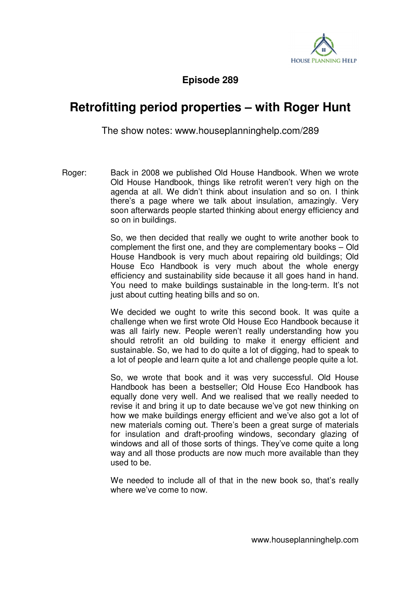

**Episode 289** 

## **Retrofitting period properties – with Roger Hunt**

The show notes: www.houseplanninghelp.com/289

Roger: Back in 2008 we published Old House Handbook. When we wrote Old House Handbook, things like retrofit weren't very high on the agenda at all. We didn't think about insulation and so on. I think there's a page where we talk about insulation, amazingly. Very soon afterwards people started thinking about energy efficiency and so on in buildings.

> So, we then decided that really we ought to write another book to complement the first one, and they are complementary books – Old House Handbook is very much about repairing old buildings; Old House Eco Handbook is very much about the whole energy efficiency and sustainability side because it all goes hand in hand. You need to make buildings sustainable in the long-term. It's not just about cutting heating bills and so on.

> We decided we ought to write this second book. It was quite a challenge when we first wrote Old House Eco Handbook because it was all fairly new. People weren't really understanding how you should retrofit an old building to make it energy efficient and sustainable. So, we had to do quite a lot of digging, had to speak to a lot of people and learn quite a lot and challenge people quite a lot.

> So, we wrote that book and it was very successful. Old House Handbook has been a bestseller; Old House Eco Handbook has equally done very well. And we realised that we really needed to revise it and bring it up to date because we've got new thinking on how we make buildings energy efficient and we've also got a lot of new materials coming out. There's been a great surge of materials for insulation and draft-proofing windows, secondary glazing of windows and all of those sorts of things. They've come quite a long way and all those products are now much more available than they used to be.

> We needed to include all of that in the new book so, that's really where we've come to now.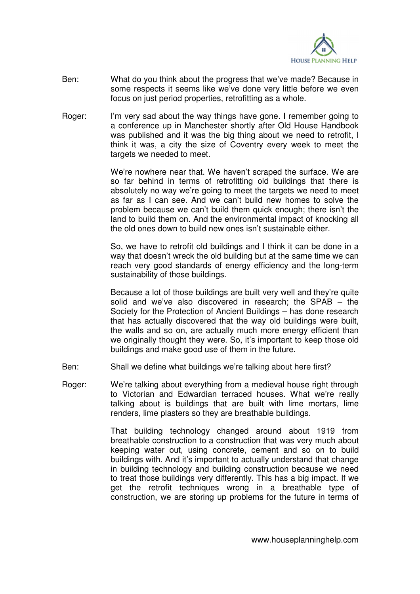

- Ben: What do you think about the progress that we've made? Because in some respects it seems like we've done very little before we even focus on just period properties, retrofitting as a whole.
- Roger: I'm very sad about the way things have gone. I remember going to a conference up in Manchester shortly after Old House Handbook was published and it was the big thing about we need to retrofit, I think it was, a city the size of Coventry every week to meet the targets we needed to meet.

 We're nowhere near that. We haven't scraped the surface. We are so far behind in terms of retrofitting old buildings that there is absolutely no way we're going to meet the targets we need to meet as far as I can see. And we can't build new homes to solve the problem because we can't build them quick enough; there isn't the land to build them on. And the environmental impact of knocking all the old ones down to build new ones isn't sustainable either.

 So, we have to retrofit old buildings and I think it can be done in a way that doesn't wreck the old building but at the same time we can reach very good standards of energy efficiency and the long-term sustainability of those buildings.

Because a lot of those buildings are built very well and they're quite solid and we've also discovered in research; the SPAB – the Society for the Protection of Ancient Buildings – has done research that has actually discovered that the way old buildings were built, the walls and so on, are actually much more energy efficient than we originally thought they were. So, it's important to keep those old buildings and make good use of them in the future.

- Ben: Shall we define what buildings we're talking about here first?
- Roger: We're talking about everything from a medieval house right through to Victorian and Edwardian terraced houses. What we're really talking about is buildings that are built with lime mortars, lime renders, lime plasters so they are breathable buildings.

 That building technology changed around about 1919 from breathable construction to a construction that was very much about keeping water out, using concrete, cement and so on to build buildings with. And it's important to actually understand that change in building technology and building construction because we need to treat those buildings very differently. This has a big impact. If we get the retrofit techniques wrong in a breathable type of construction, we are storing up problems for the future in terms of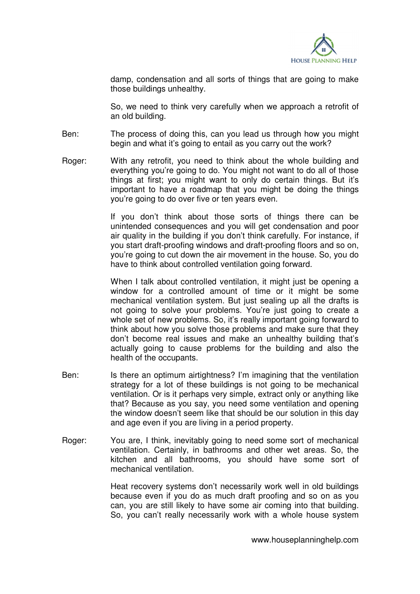

damp, condensation and all sorts of things that are going to make those buildings unhealthy.

 So, we need to think very carefully when we approach a retrofit of an old building.

- Ben: The process of doing this, can you lead us through how you might begin and what it's going to entail as you carry out the work?
- Roger: With any retrofit, you need to think about the whole building and everything you're going to do. You might not want to do all of those things at first; you might want to only do certain things. But it's important to have a roadmap that you might be doing the things you're going to do over five or ten years even.

 If you don't think about those sorts of things there can be unintended consequences and you will get condensation and poor air quality in the building if you don't think carefully. For instance, if you start draft-proofing windows and draft-proofing floors and so on, you're going to cut down the air movement in the house. So, you do have to think about controlled ventilation going forward.

When I talk about controlled ventilation, it might just be opening a window for a controlled amount of time or it might be some mechanical ventilation system. But just sealing up all the drafts is not going to solve your problems. You're just going to create a whole set of new problems. So, it's really important going forward to think about how you solve those problems and make sure that they don't become real issues and make an unhealthy building that's actually going to cause problems for the building and also the health of the occupants.

- Ben: Is there an optimum airtightness? I'm imagining that the ventilation strategy for a lot of these buildings is not going to be mechanical ventilation. Or is it perhaps very simple, extract only or anything like that? Because as you say, you need some ventilation and opening the window doesn't seem like that should be our solution in this day and age even if you are living in a period property.
- Roger: You are, I think, inevitably going to need some sort of mechanical ventilation. Certainly, in bathrooms and other wet areas. So, the kitchen and all bathrooms, you should have some sort of mechanical ventilation.

 Heat recovery systems don't necessarily work well in old buildings because even if you do as much draft proofing and so on as you can, you are still likely to have some air coming into that building. So, you can't really necessarily work with a whole house system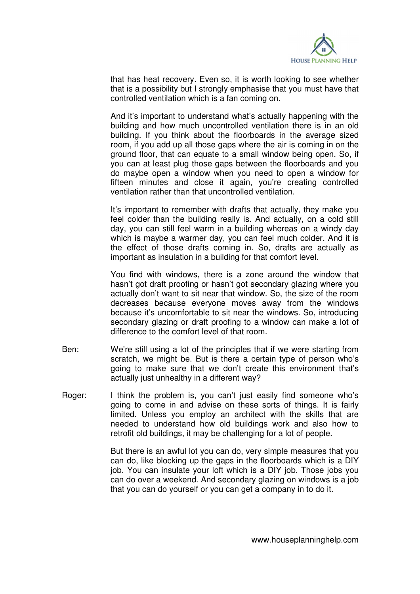

that has heat recovery. Even so, it is worth looking to see whether that is a possibility but I strongly emphasise that you must have that controlled ventilation which is a fan coming on.

 And it's important to understand what's actually happening with the building and how much uncontrolled ventilation there is in an old building. If you think about the floorboards in the average sized room, if you add up all those gaps where the air is coming in on the ground floor, that can equate to a small window being open. So, if you can at least plug those gaps between the floorboards and you do maybe open a window when you need to open a window for fifteen minutes and close it again, you're creating controlled ventilation rather than that uncontrolled ventilation.

 It's important to remember with drafts that actually, they make you feel colder than the building really is. And actually, on a cold still day, you can still feel warm in a building whereas on a windy day which is maybe a warmer day, you can feel much colder. And it is the effect of those drafts coming in. So, drafts are actually as important as insulation in a building for that comfort level.

 You find with windows, there is a zone around the window that hasn't got draft proofing or hasn't got secondary glazing where you actually don't want to sit near that window. So, the size of the room decreases because everyone moves away from the windows because it's uncomfortable to sit near the windows. So, introducing secondary glazing or draft proofing to a window can make a lot of difference to the comfort level of that room.

- Ben: We're still using a lot of the principles that if we were starting from scratch, we might be. But is there a certain type of person who's going to make sure that we don't create this environment that's actually just unhealthy in a different way?
- Roger: I think the problem is, you can't just easily find someone who's going to come in and advise on these sorts of things. It is fairly limited. Unless you employ an architect with the skills that are needed to understand how old buildings work and also how to retrofit old buildings, it may be challenging for a lot of people.

 But there is an awful lot you can do, very simple measures that you can do, like blocking up the gaps in the floorboards which is a DIY job. You can insulate your loft which is a DIY job. Those jobs you can do over a weekend. And secondary glazing on windows is a job that you can do yourself or you can get a company in to do it.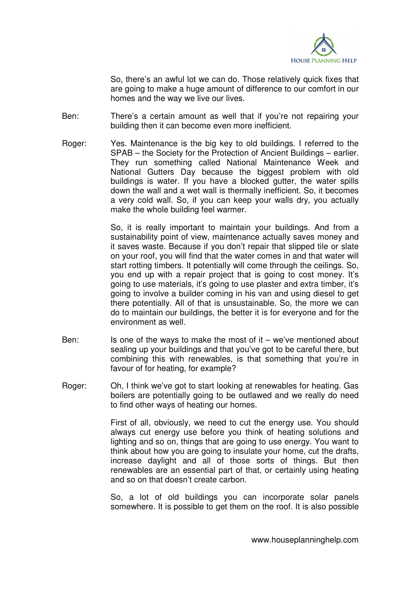

 So, there's an awful lot we can do. Those relatively quick fixes that are going to make a huge amount of difference to our comfort in our homes and the way we live our lives.

- Ben: There's a certain amount as well that if you're not repairing your building then it can become even more inefficient.
- Roger: Yes. Maintenance is the big key to old buildings. I referred to the SPAB – the Society for the Protection of Ancient Buildings – earlier. They run something called National Maintenance Week and National Gutters Day because the biggest problem with old buildings is water. If you have a blocked gutter, the water spills down the wall and a wet wall is thermally inefficient. So, it becomes a very cold wall. So, if you can keep your walls dry, you actually make the whole building feel warmer.

 So, it is really important to maintain your buildings. And from a sustainability point of view, maintenance actually saves money and it saves waste. Because if you don't repair that slipped tile or slate on your roof, you will find that the water comes in and that water will start rotting timbers. It potentially will come through the ceilings. So, you end up with a repair project that is going to cost money. It's going to use materials, it's going to use plaster and extra timber, it's going to involve a builder coming in his van and using diesel to get there potentially. All of that is unsustainable. So, the more we can do to maintain our buildings, the better it is for everyone and for the environment as well.

- Ben: Is one of the ways to make the most of  $it we've$  mentioned about sealing up your buildings and that you've got to be careful there, but combining this with renewables, is that something that you're in favour of for heating, for example?
- Roger: Oh, I think we've got to start looking at renewables for heating. Gas boilers are potentially going to be outlawed and we really do need to find other ways of heating our homes.

 First of all, obviously, we need to cut the energy use. You should always cut energy use before you think of heating solutions and lighting and so on, things that are going to use energy. You want to think about how you are going to insulate your home, cut the drafts, increase daylight and all of those sorts of things. But then renewables are an essential part of that, or certainly using heating and so on that doesn't create carbon.

 So, a lot of old buildings you can incorporate solar panels somewhere. It is possible to get them on the roof. It is also possible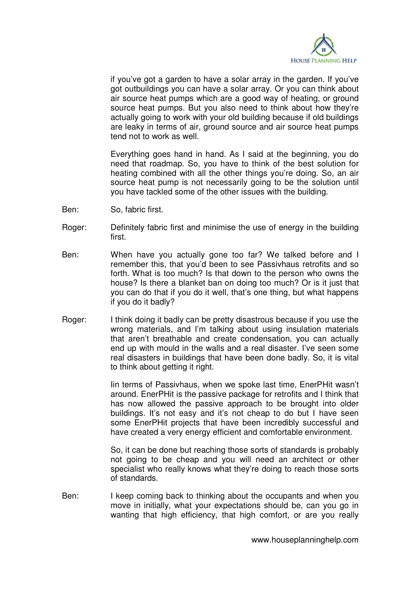

if you've got a garden to have a solar array in the garden. If you've got outbuildings you can have a solar array. Or you can think about air source heat pumps which are a good way of heating, or ground source heat pumps. But you also need to think about how they're actually going to work with your old building because if old buildings are leaky in terms of air, ground source and air source heat pumps tend not to work as well.

 Everything goes hand in hand. As I said at the beginning, you do need that roadmap. So, you have to think of the best solution for heating combined with all the other things you're doing. So, an air source heat pump is not necessarily going to be the solution until you have tackled some of the other issues with the building.

- Ben: So, fabric first.
- Roger: Definitely fabric first and minimise the use of energy in the building first.
- Ben: When have you actually gone too far? We talked before and I remember this, that you'd been to see Passivhaus retrofits and so forth. What is too much? Is that down to the person who owns the house? Is there a blanket ban on doing too much? Or is it just that you can do that if you do it well, that's one thing, but what happens if you do it badly?
- Roger: I think doing it badly can be pretty disastrous because if you use the wrong materials, and I'm talking about using insulation materials that aren't breathable and create condensation, you can actually end up with mould in the walls and a real disaster. I've seen some real disasters in buildings that have been done badly. So, it is vital to think about getting it right.

 Iin terms of Passivhaus, when we spoke last time, EnerPHit wasn't around. EnerPHit is the passive package for retrofits and I think that has now allowed the passive approach to be brought into older buildings. It's not easy and it's not cheap to do but I have seen some EnerPHit projects that have been incredibly successful and have created a very energy efficient and comfortable environment.

 So, it can be done but reaching those sorts of standards is probably not going to be cheap and you will need an architect or other specialist who really knows what they're doing to reach those sorts of standards.

Ben: I keep coming back to thinking about the occupants and when you move in initially, what your expectations should be, can you go in wanting that high efficiency, that high comfort, or are you really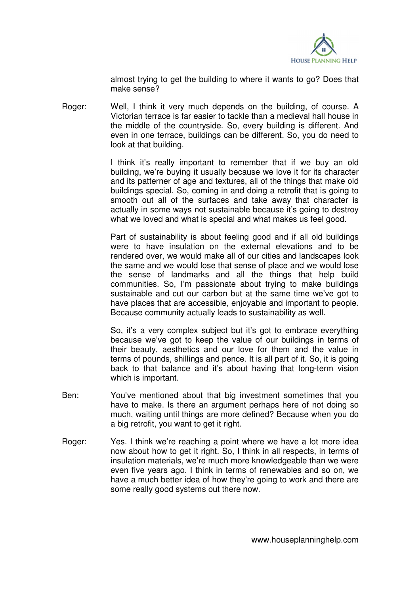

almost trying to get the building to where it wants to go? Does that make sense?

Roger: Well, I think it very much depends on the building, of course. A Victorian terrace is far easier to tackle than a medieval hall house in the middle of the countryside. So, every building is different. And even in one terrace, buildings can be different. So, you do need to look at that building.

> I think it's really important to remember that if we buy an old building, we're buying it usually because we love it for its character and its patterner of age and textures, all of the things that make old buildings special. So, coming in and doing a retrofit that is going to smooth out all of the surfaces and take away that character is actually in some ways not sustainable because it's going to destroy what we loved and what is special and what makes us feel good.

> Part of sustainability is about feeling good and if all old buildings were to have insulation on the external elevations and to be rendered over, we would make all of our cities and landscapes look the same and we would lose that sense of place and we would lose the sense of landmarks and all the things that help build communities. So, I'm passionate about trying to make buildings sustainable and cut our carbon but at the same time we've got to have places that are accessible, enjoyable and important to people. Because community actually leads to sustainability as well.

> So, it's a very complex subject but it's got to embrace everything because we've got to keep the value of our buildings in terms of their beauty, aesthetics and our love for them and the value in terms of pounds, shillings and pence. It is all part of it. So, it is going back to that balance and it's about having that long-term vision which is important.

- Ben: You've mentioned about that big investment sometimes that you have to make. Is there an argument perhaps here of not doing so much, waiting until things are more defined? Because when you do a big retrofit, you want to get it right.
- Roger: Yes. I think we're reaching a point where we have a lot more idea now about how to get it right. So, I think in all respects, in terms of insulation materials, we're much more knowledgeable than we were even five years ago. I think in terms of renewables and so on, we have a much better idea of how they're going to work and there are some really good systems out there now.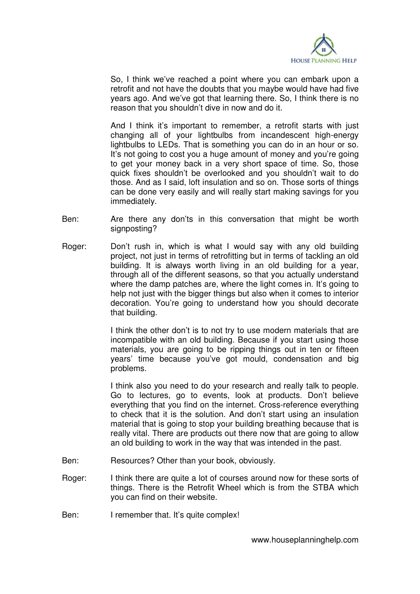

 So, I think we've reached a point where you can embark upon a retrofit and not have the doubts that you maybe would have had five years ago. And we've got that learning there. So, I think there is no reason that you shouldn't dive in now and do it.

 And I think it's important to remember, a retrofit starts with just changing all of your lightbulbs from incandescent high-energy lightbulbs to LEDs. That is something you can do in an hour or so. It's not going to cost you a huge amount of money and you're going to get your money back in a very short space of time. So, those quick fixes shouldn't be overlooked and you shouldn't wait to do those. And as I said, loft insulation and so on. Those sorts of things can be done very easily and will really start making savings for you immediately.

- Ben: Are there any don'ts in this conversation that might be worth signposting?
- Roger: Don't rush in, which is what I would say with any old building project, not just in terms of retrofitting but in terms of tackling an old building. It is always worth living in an old building for a year, through all of the different seasons, so that you actually understand where the damp patches are, where the light comes in. It's going to help not just with the bigger things but also when it comes to interior decoration. You're going to understand how you should decorate that building.

 I think the other don't is to not try to use modern materials that are incompatible with an old building. Because if you start using those materials, you are going to be ripping things out in ten or fifteen years' time because you've got mould, condensation and big problems.

 I think also you need to do your research and really talk to people. Go to lectures, go to events, look at products. Don't believe everything that you find on the internet. Cross-reference everything to check that it is the solution. And don't start using an insulation material that is going to stop your building breathing because that is really vital. There are products out there now that are going to allow an old building to work in the way that was intended in the past.

- Ben: Resources? Other than your book, obviously.
- Roger: I think there are quite a lot of courses around now for these sorts of things. There is the Retrofit Wheel which is from the STBA which you can find on their website.
- Ben: I remember that. It's quite complex!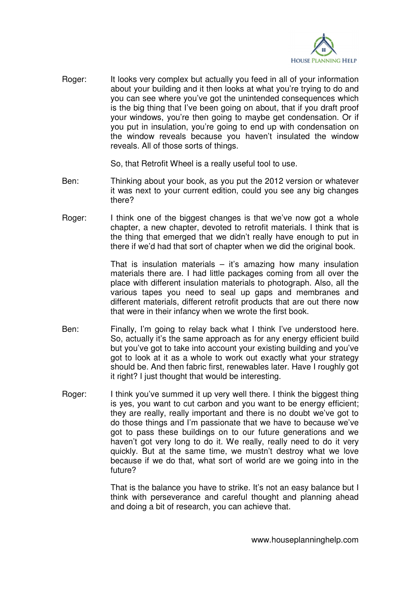

Roger: It looks very complex but actually you feed in all of your information about your building and it then looks at what you're trying to do and you can see where you've got the unintended consequences which is the big thing that I've been going on about, that if you draft proof your windows, you're then going to maybe get condensation. Or if you put in insulation, you're going to end up with condensation on the window reveals because you haven't insulated the window reveals. All of those sorts of things.

So, that Retrofit Wheel is a really useful tool to use.

- Ben: Thinking about your book, as you put the 2012 version or whatever it was next to your current edition, could you see any big changes there?
- Roger: I think one of the biggest changes is that we've now got a whole chapter, a new chapter, devoted to retrofit materials. I think that is the thing that emerged that we didn't really have enough to put in there if we'd had that sort of chapter when we did the original book.

That is insulation materials  $-$  it's amazing how many insulation materials there are. I had little packages coming from all over the place with different insulation materials to photograph. Also, all the various tapes you need to seal up gaps and membranes and different materials, different retrofit products that are out there now that were in their infancy when we wrote the first book.

- Ben: Finally, I'm going to relay back what I think I've understood here. So, actually it's the same approach as for any energy efficient build but you've got to take into account your existing building and you've got to look at it as a whole to work out exactly what your strategy should be. And then fabric first, renewables later. Have I roughly got it right? I just thought that would be interesting.
- Roger: I think you've summed it up very well there. I think the biggest thing is yes, you want to cut carbon and you want to be energy efficient; they are really, really important and there is no doubt we've got to do those things and I'm passionate that we have to because we've got to pass these buildings on to our future generations and we haven't got very long to do it. We really, really need to do it very quickly. But at the same time, we mustn't destroy what we love because if we do that, what sort of world are we going into in the future?

 That is the balance you have to strike. It's not an easy balance but I think with perseverance and careful thought and planning ahead and doing a bit of research, you can achieve that.